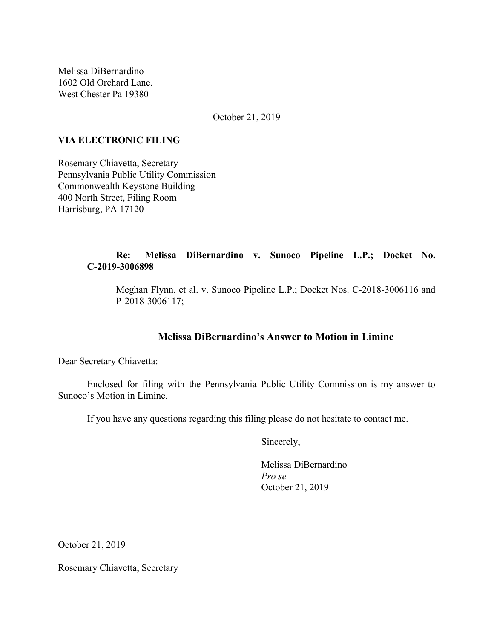Melissa DiBernardino 1602 Old Orchard Lane. West Chester Pa 19380

October 21, 2019

## **VIA ELECTRONIC FILING**

Rosemary Chiavetta, Secretary Pennsylvania Public Utility Commission Commonwealth Keystone Building 400 North Street, Filing Room Harrisburg, PA 17120

## **Re: Melissa DiBernardino v. Sunoco Pipeline L.P.; Docket No. C-2019-3006898**

Meghan Flynn. et al. v. Sunoco Pipeline L.P.; Docket Nos. C-2018-3006116 and P-2018-3006117;

# **Melissa DiBernardino's Answer to Motion in Limine**

Dear Secretary Chiavetta:

Enclosed for filing with the Pennsylvania Public Utility Commission is my answer to Sunoco's Motion in Limine.

If you have any questions regarding this filing please do not hesitate to contact me.

Sincerely,

Melissa DiBernardino *Pro se* October 21, 2019

October 21, 2019

Rosemary Chiavetta, Secretary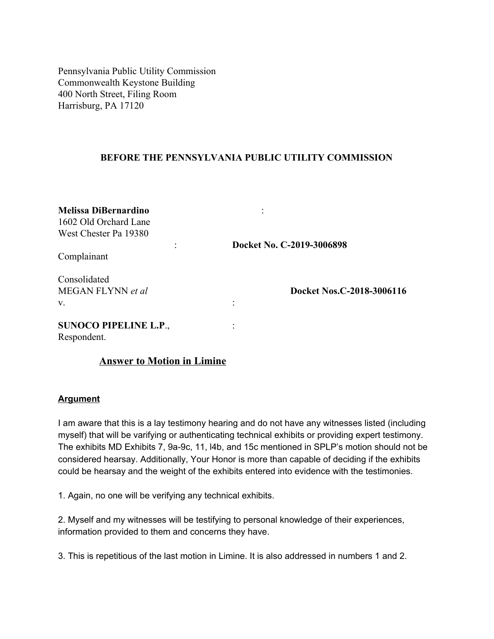Pennsylvania Public Utility Commission Commonwealth Keystone Building 400 North Street, Filing Room Harrisburg, PA 17120

## **BEFORE THE PENNSYLVANIA PUBLIC UTILITY COMMISSION**

| <b>Melissa DiBernardino</b><br>1602 Old Orchard Lane<br>West Chester Pa 19380<br>Complainant | Docket No. C-2019-3006898 |
|----------------------------------------------------------------------------------------------|---------------------------|
|                                                                                              |                           |
| <b>SUNOCO PIPELINE L.P.,</b><br>Respondent.                                                  |                           |

#### **Answer to Motion in Limine**

#### **Argument**

I am aware that this is a lay testimony hearing and do not have any witnesses listed (including myself) that will be varifying or authenticating technical exhibits or providing expert testimony. The exhibits MD Exhibits 7, 9a-9c, 11, l4b, and 15c mentioned in SPLP's motion should not be considered hearsay. Additionally, Your Honor is more than capable of deciding if the exhibits could be hearsay and the weight of the exhibits entered into evidence with the testimonies.

1. Again, no one will be verifying any technical exhibits.

2. Myself and my witnesses will be testifying to personal knowledge of their experiences, information provided to them and concerns they have.

3. This is repetitious of the last motion in Limine. It is also addressed in numbers 1 and 2.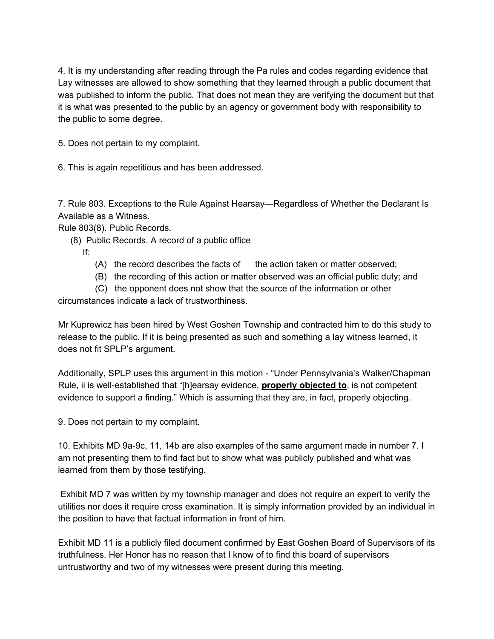4. It is my understanding after reading through the Pa rules and codes regarding evidence that Lay witnesses are allowed to show something that they learned through a public document that was published to inform the public. That does not mean they are verifying the document but that it is what was presented to the public by an agency or government body with responsibility to the public to some degree.

5. Does not pertain to my complaint.

6. This is again repetitious and has been addressed.

7. Rule 803. Exceptions to the Rule Against Hearsay—Regardless of Whether the Declarant Is Available as a Witness.

Rule 803(8). Public Records.

(8) Public Records. A record of a public office

If:

- (A) the record describes the facts of the action taken or matter observed;
- (B) the recording of this action or matter observed was an official public duty; and

(C) the opponent does not show that the source of the information or other

circumstances indicate a lack of trustworthiness.

Mr Kuprewicz has been hired by West Goshen Township and contracted him to do this study to release to the public. If it is being presented as such and something a lay witness learned, it does not fit SPLP's argument.

Additionally, SPLP uses this argument in this motion - "Under Pennsylvania's Walker/Chapman Rule, ii is well-established that "[h]earsay evidence, **properly objected to**, is not competent evidence to support a finding." Which is assuming that they are, in fact, properly objecting.

9. Does not pertain to my complaint.

10. Exhibits MD 9a-9c, 11, 14b are also examples of the same argument made in number 7. I am not presenting them to find fact but to show what was publicly published and what was learned from them by those testifying.

Exhibit MD 7 was written by my township manager and does not require an expert to verify the utilities nor does it require cross examination. It is simply information provided by an individual in the position to have that factual information in front of him.

Exhibit MD 11 is a publicly filed document confirmed by East Goshen Board of Supervisors of its truthfulness. Her Honor has no reason that I know of to find this board of supervisors untrustworthy and two of my witnesses were present during this meeting.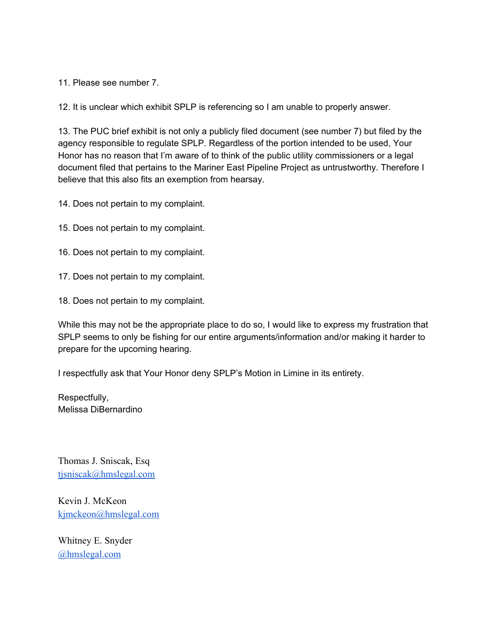11. Please see number 7.

12. It is unclear which exhibit SPLP is referencing so I am unable to properly answer.

13. The PUC brief exhibit is not only a publicly filed document (see number 7) but filed by the agency responsible to regulate SPLP. Regardless of the portion intended to be used, Your Honor has no reason that I'm aware of to think of the public utility commissioners or a legal document filed that pertains to the Mariner East Pipeline Project as untrustworthy. Therefore I believe that this also fits an exemption from hearsay.

14. Does not pertain to my complaint.

- 15. Does not pertain to my complaint.
- 16. Does not pertain to my complaint.
- 17. Does not pertain to my complaint.
- 18. Does not pertain to my complaint.

While this may not be the appropriate place to do so, I would like to express my frustration that SPLP seems to only be fishing for our entire arguments/information and/or making it harder to prepare for the upcoming hearing.

I respectfully ask that Your Honor deny SPLP's Motion in Limine in its entirety.

Respectfully, Melissa DiBernardino

Thomas J. Sniscak, Esq [tjsniscak@hmslegal.com](mailto:tjsniscak@hmslegal.com)

Kevin J. McKeon [kjmckeon@hmslegal.com](mailto:kjmckeon@hmslegal.com)

Whitney E. Snyder [@hmslegal.com](mailto:wesnyder@hmslegal.com)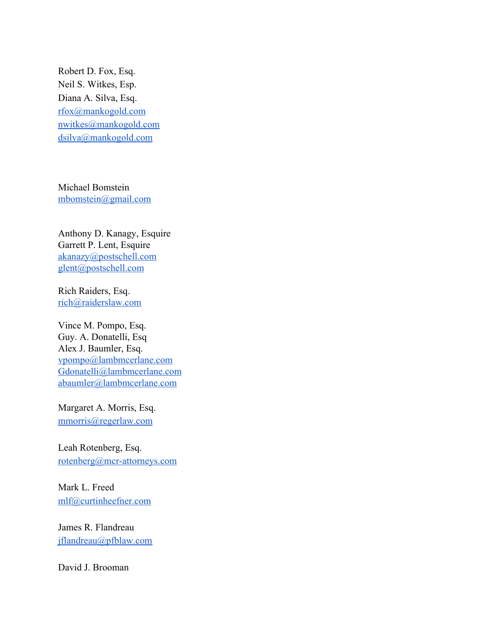Robert D. Fox, Esq. Neil S. Witkes, Esp. Diana A. Silva, Esq. [rfox@mankogold.com](mailto:rfox@mankogold.com) [nwitkes@mankogold.com](mailto:nwitkes@mankogold.com) [dsilva@mankogold.com](mailto:dsilva@mankogold.com)

Michael Bomstein [mbomstein@gmail.com](mailto:mbomstein@gmail.com)

Anthony D. Kanagy, Esquire Garrett P. Lent, Esquire [akanazy@postschell.com](mailto:akanazy@postschell.com) [glent@postschell.com](mailto:glent@postschell.com)

Rich Raiders, Esq. [rich@raiderslaw.com](mailto:rich@raiderslaw.com)

Vince M. Pompo, Esq. Guy. A. Donatelli, Esq Alex J. Baumler, Esq. [vpompo@lambmcerlane.com](mailto:vpompo@lambmcerlane.com) [Gdonatelli@lambmcerlane.com](mailto:Gdonatelli@lambmcerlane.com) [abaumler@lambmcerlane.com](mailto:abaumler@lambmcerlane.com)

Margaret A. Morris, Esq. [mmorris@regerlaw.com](mailto:mmorris@regerlaw.com)

Leah Rotenberg, Esq. [rotenberg@mcr-attorneys.com](mailto:rotenberg@mcr-attorneys.com)

Mark L. Freed [mlf@curtinheefner.com](mailto:mlf@curtinheefner.com)

James R. Flandreau [jflandreau@pfblaw.com](mailto:jflandreau@pfblaw.com)

David J. Brooman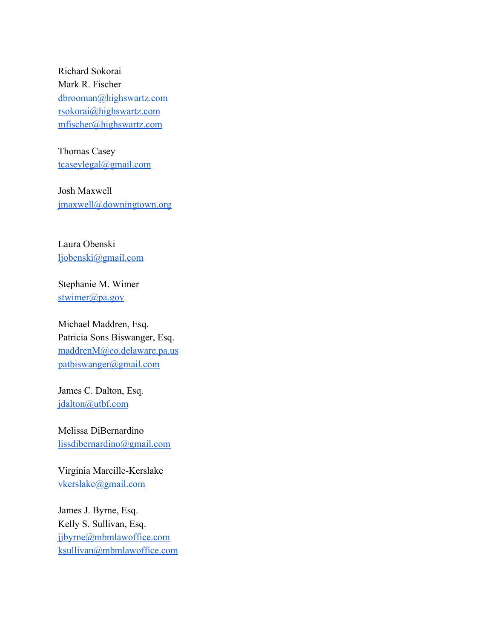Richard Sokorai Mark R. Fischer [dbrooman@highswartz.com](mailto:dbrooman@highswartz.com) [rsokorai@highswartz.com](mailto:rsokorai@highswartz.com) [mfischer@highswartz.com](mailto:mfischer@highswartz.com)

Thomas Casey [tcaseylegal@gmail.com](mailto:tcaseylegal@gmail.com)

Josh Maxwell [jmaxwell@downingtown.org](mailto:jmaxwell@downingtown.org)

Laura Obenski [ljobenski@gmail.com](mailto:ljobenski@gmail.com)

Stephanie M. Wimer [stwimer@pa.gov](mailto:stwimer@pa.gov)

Michael Maddren, Esq. Patricia Sons Biswanger, Esq. [maddrenM@co.delaware.pa.us](mailto:maddrenM@co.delaware.pa.us) [patbiswanger@gmail.com](mailto:patbiswanger@gmail.com)

James C. Dalton, Esq. [jdalton@utbf.com](mailto:jdalton@utbf.com)

Melissa DiBernardino [lissdibernardino@gmail.com](mailto:lissdibernardino@gmail.com)

Virginia Marcille-Kerslake [vkerslake@gmail.com](mailto:vkerslake@gmail.com)

James J. Byrne, Esq. Kelly S. Sullivan, Esq. [jjbyrne@mbmlawoffice.com](mailto:jjbyrne@mbmlawoffice.com) [ksullivan@mbmlawoffice.com](mailto:ksullivan@mbmlawoffice.com)